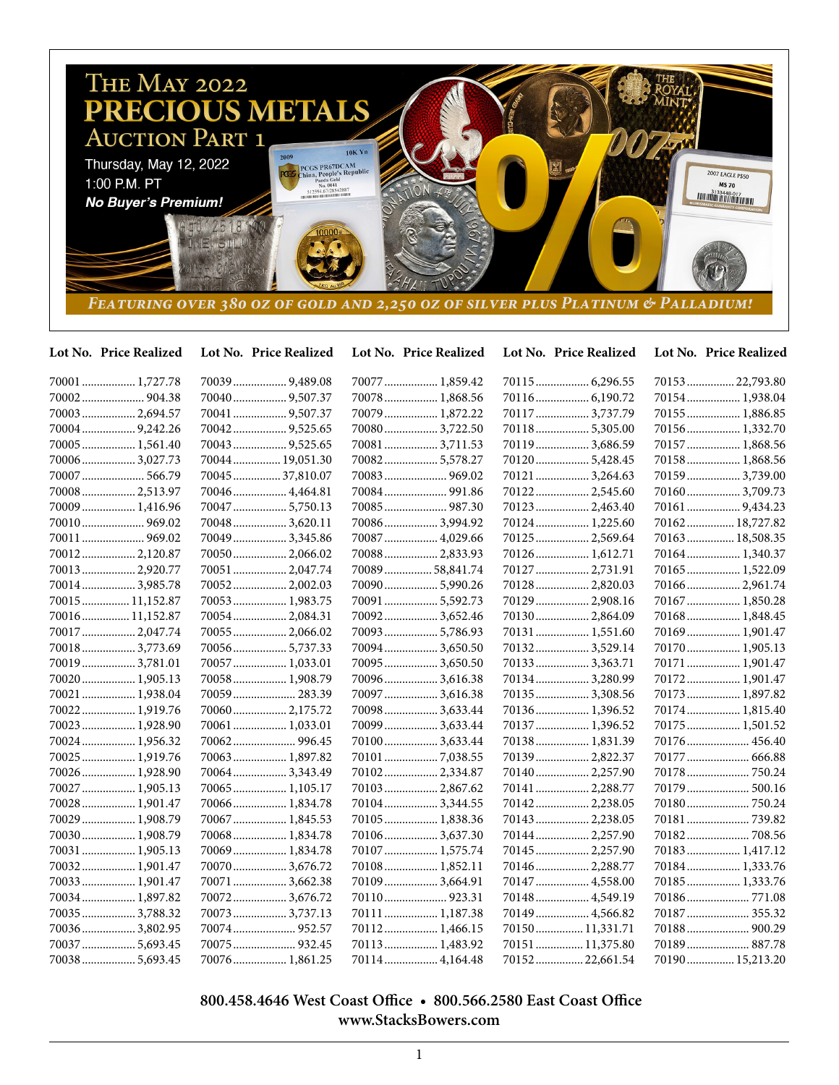

| Lot No. Price Realized | Lot No. Price Realized | Lot No. Price Realized | Lot No. Price Realized | Lot No. Price Realized |
|------------------------|------------------------|------------------------|------------------------|------------------------|
| 70001 1,727.78         | 70039  9,489.08        | 70077  1,859.42        | 70115  6,296.55        | 7015322,793.80         |
| 70002 904.38           |                        | 70078 1,868.56         |                        | 70154 1,938.04         |
| 70003 2,694.57         | 70041  9,507.37        | 70079  1,872.22        | 70117  3,737.79        | 70155  1,886.85        |
| 700049,242.26          | 70042 9,525.65         | 70080 3,722.50         | 70118 5,305.00         | 70156 1,332.70         |
| 70005 1,561.40         |                        | 70081  3,711.53        | 70119  3,686.59        | 70157  1,868.56        |
| 700063,027.73          | 70044 19,051.30        | 700825,578.27          | 701205,428.45          | 70158 1,868.56         |
| 70007 566.79           | 70045  37,810.07       | 70083 969.02           | 70121  3,264.63        | 70159  3,739.00        |
| 70008  2,513.97        | 70046 4,464.81         | 70084 991.86           | 70122 2,545.60         | 70160 3,709.73         |
| 70009  1,416.96        | 70047  5,750.13        | 70085  987.30          | 70123  2,463.40        | 70161  9,434.23        |
|                        | 70048 3,620.11         | 70086 3,994.92         | 70124  1,225.60        | 70162 18,727.82        |
| 70011  969.02          | 70049 3,345.86         | 70087  4,029.66        | 70125  2,569.64        | 70163 18,508.35        |
| 70012 2,120.87         | 70050 2,066.02         | 70088 2,833.93         | 70126 1,612.71         | 70164  1,340.37        |
| 70013  2,920.77        | 70051  2,047.74        | 70089  58,841.74       | 70127  2,731.91        | 70165 1,522.09         |
| 70014 3,985.78         | 70052 2,002.03         | 70090 5,990.26         | 70128 2,820.03         | 70166 2,961.74         |
| 70015  11,152.87       | 70053 1,983.75         | 70091  5,592.73        | 70129  2,908.16        | 70167  1,850.28        |
| 70016 11,152.87        | 70054 2,084.31         | 70092 3,652.46         | 70130 2,864.09         | 70168 1,848.45         |
| 70017  2,047.74        | 70055 2,066.02         | 70093  5,786.93        | 70131  1,551.60        | 70169  1,901.47        |
| 70018 3,773.69         | 700565,737.33          | 70094 3,650.50         | 70132 3,529.14         | 70170 1,905.13         |
| 70019  3,781.01        | 70057 1,033.01         | 70095  3,650.50        | 701333,363.71          | 70171  1,901.47        |
| 70020 1,905.13         | 70058 1,908.79         | 70096 3,616.38         | 70134 3,280.99         | 70172 1,901.47         |
| 70021  1,938.04        | 70059  283.39          | 70097  3,616.38        | 70135  3,308.56        | 70173 1,897.82         |
| 70022 1,919.76         | 70060 2,175.72         | 70098 3,633.44         | 70136 1,396.52         | 70174  1,815.40        |
| 70023  1,928.90        | 70061 1,033.01         | 70099  3,633.44        | 70137  1,396.52        | 70175  1,501.52        |
| 70024  1,956.32        |                        | 70100 3,633.44         | 70138 1,831.39         | 70176 456.40           |
| 70025  1,919.76        | 70063 1,897.82         |                        | 70139 2,822.37         | 70177  666.88          |
| 70026 1,928.90         | 70064 3,343.49         | 70102 2,334.87         | 70140 2,257.90         | 70178 750.24           |
| 70027  1,905.13        | 70065 1,105.17         | 70103 2,867.62         | 70141  2,288.77        | 70179  500.16          |
| 70028 1,901.47         | 70066 1,834.78         | 70104 3,344.55         | 70142 2,238.05         |                        |
| 70029  1,908.79        | 70067  1,845.53        | 70105 1,838.36         | 70143  2,238.05        | 70181 739.82           |
| 70030  1,908.79        | 70068 1,834.78         | 70106 3,637.30         | 70144  2,257.90        | 70182708.56            |
| 70031  1,905.13        | 70069 1,834.78         | 70107  1,575.74        | 70145  2,257.90        | 70183 1,417.12         |
| 70032 1,901.47         | 70070 3,676.72         | 70108 1,852.11         | 70146  2,288.77        | 70184 1,333.76         |
| 70033  1,901.47        | 70071  3,662.38        | 70109  3,664.91        | 70147  4,558.00        | 70185 1,333.76         |
| 70034  1,897.82        | 70072 3,676.72         |                        | 70148  4,549.19        | 70186 771.08           |
| 70035  3,788.32        | 70073 3,737.13         | 70111  1,187.38        | 70149  4,566.82        | 70187  355.32          |
| 700363,802.95          | 70074 952.57           | 70112 1,466.15         | 70150 11,331.71        | 70188 900.29           |
| 70037  5,693.45        | 70075  932.45          | 70113  1,483.92        | 70151  11,375.80       | 70189  887.78          |
|                        | 70076 1,861.25         | 70114  4,164.48        | 7015222.661.54         | 70190 15,213.20        |

## **800.458.4646 West Coast Office • 800.566.2580 East Coast Office www.StacksBowers.com**